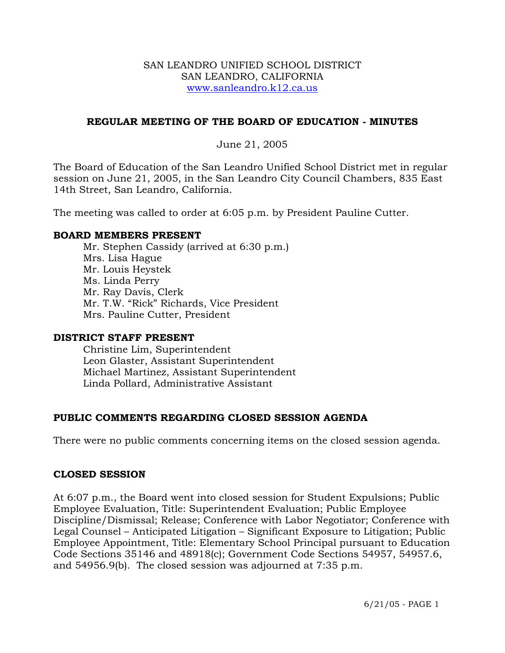### SAN LEANDRO UNIFIED SCHOOL DISTRICT SAN LEANDRO, CALIFORNIA www.sanleandro.k12.ca.us

## **REGULAR MEETING OF THE BOARD OF EDUCATION - MINUTES**

### June 21, 2005

The Board of Education of the San Leandro Unified School District met in regular session on June 21, 2005, in the San Leandro City Council Chambers, 835 East 14th Street, San Leandro, California.

The meeting was called to order at 6:05 p.m. by President Pauline Cutter.

### **BOARD MEMBERS PRESENT**

Mr. Stephen Cassidy (arrived at 6:30 p.m.) Mrs. Lisa Hague Mr. Louis Heystek Ms. Linda Perry Mr. Ray Davis, Clerk Mr. T.W. "Rick" Richards, Vice President Mrs. Pauline Cutter, President

### **DISTRICT STAFF PRESENT**

Christine Lim, Superintendent Leon Glaster, Assistant Superintendent Michael Martinez, Assistant Superintendent Linda Pollard, Administrative Assistant

## **PUBLIC COMMENTS REGARDING CLOSED SESSION AGENDA**

There were no public comments concerning items on the closed session agenda.

### **CLOSED SESSION**

At 6:07 p.m., the Board went into closed session for Student Expulsions; Public Employee Evaluation, Title: Superintendent Evaluation; Public Employee Discipline/Dismissal; Release; Conference with Labor Negotiator; Conference with Legal Counsel – Anticipated Litigation – Significant Exposure to Litigation; Public Employee Appointment, Title: Elementary School Principal pursuant to Education Code Sections 35146 and 48918(c); Government Code Sections 54957, 54957.6, and 54956.9(b). The closed session was adjourned at 7:35 p.m.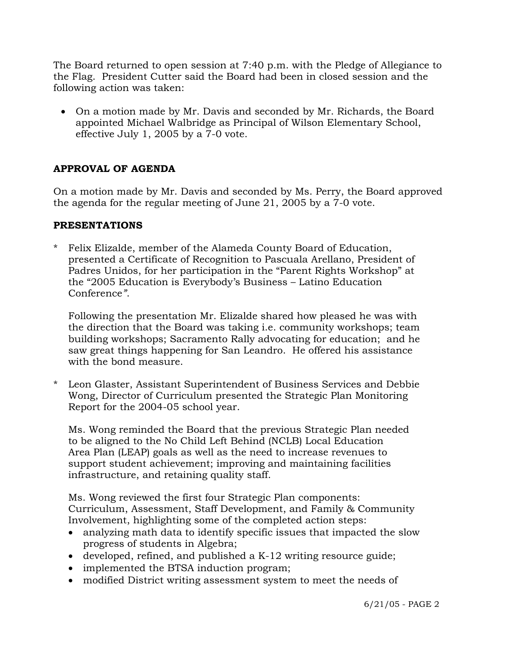The Board returned to open session at 7:40 p.m. with the Pledge of Allegiance to the Flag. President Cutter said the Board had been in closed session and the following action was taken:

• On a motion made by Mr. Davis and seconded by Mr. Richards, the Board appointed Michael Walbridge as Principal of Wilson Elementary School, effective July 1, 2005 by a 7-0 vote.

# **APPROVAL OF AGENDA**

On a motion made by Mr. Davis and seconded by Ms. Perry, the Board approved the agenda for the regular meeting of June 21, 2005 by a 7-0 vote.

# **PRESENTATIONS**

\* Felix Elizalde, member of the Alameda County Board of Education, presented a Certificate of Recognition to Pascuala Arellano, President of Padres Unidos, for her participation in the "Parent Rights Workshop" at the "2005 Education is Everybody's Business – Latino Education Conference*"*.

 Following the presentation Mr. Elizalde shared how pleased he was with the direction that the Board was taking i.e. community workshops; team building workshops; Sacramento Rally advocating for education; and he saw great things happening for San Leandro. He offered his assistance with the bond measure.

Leon Glaster, Assistant Superintendent of Business Services and Debbie Wong, Director of Curriculum presented the Strategic Plan Monitoring Report for the 2004-05 school year.

 Ms. Wong reminded the Board that the previous Strategic Plan needed to be aligned to the No Child Left Behind (NCLB) Local Education Area Plan (LEAP) goals as well as the need to increase revenues to support student achievement; improving and maintaining facilities infrastructure, and retaining quality staff.

Ms. Wong reviewed the first four Strategic Plan components: Curriculum, Assessment, Staff Development, and Family & Community Involvement, highlighting some of the completed action steps:

- analyzing math data to identify specific issues that impacted the slow progress of students in Algebra;
- developed, refined, and published a K-12 writing resource guide;
- implemented the BTSA induction program;
- modified District writing assessment system to meet the needs of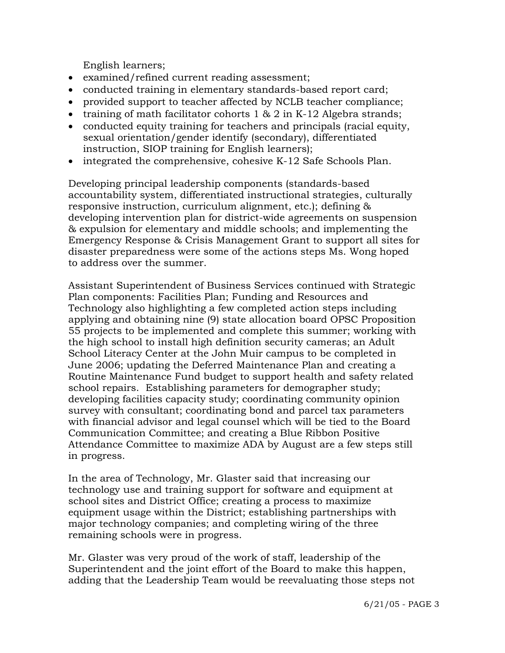English learners;

- examined/refined current reading assessment;
- conducted training in elementary standards-based report card;
- provided support to teacher affected by NCLB teacher compliance;
- training of math facilitator cohorts  $1 \& 2$  in K-12 Algebra strands;
- conducted equity training for teachers and principals (racial equity, sexual orientation/gender identify (secondary), differentiated instruction, SIOP training for English learners);
- integrated the comprehensive, cohesive K-12 Safe Schools Plan.

Developing principal leadership components (standards-based accountability system, differentiated instructional strategies, culturally responsive instruction, curriculum alignment, etc.); defining & developing intervention plan for district-wide agreements on suspension & expulsion for elementary and middle schools; and implementing the Emergency Response & Crisis Management Grant to support all sites for disaster preparedness were some of the actions steps Ms. Wong hoped to address over the summer.

Assistant Superintendent of Business Services continued with Strategic Plan components: Facilities Plan; Funding and Resources and Technology also highlighting a few completed action steps including applying and obtaining nine (9) state allocation board OPSC Proposition 55 projects to be implemented and complete this summer; working with the high school to install high definition security cameras; an Adult School Literacy Center at the John Muir campus to be completed in June 2006; updating the Deferred Maintenance Plan and creating a Routine Maintenance Fund budget to support health and safety related school repairs. Establishing parameters for demographer study; developing facilities capacity study; coordinating community opinion survey with consultant; coordinating bond and parcel tax parameters with financial advisor and legal counsel which will be tied to the Board Communication Committee; and creating a Blue Ribbon Positive Attendance Committee to maximize ADA by August are a few steps still in progress.

In the area of Technology, Mr. Glaster said that increasing our technology use and training support for software and equipment at school sites and District Office; creating a process to maximize equipment usage within the District; establishing partnerships with major technology companies; and completing wiring of the three remaining schools were in progress.

Mr. Glaster was very proud of the work of staff, leadership of the Superintendent and the joint effort of the Board to make this happen, adding that the Leadership Team would be reevaluating those steps not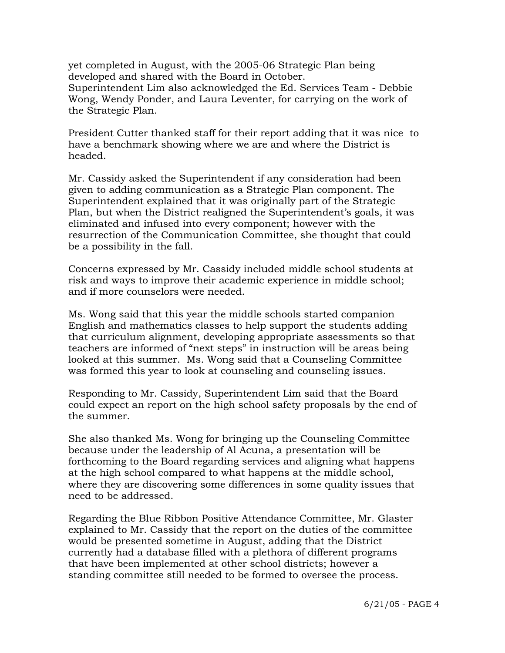yet completed in August, with the 2005-06 Strategic Plan being developed and shared with the Board in October. Superintendent Lim also acknowledged the Ed. Services Team - Debbie Wong, Wendy Ponder, and Laura Leventer, for carrying on the work of the Strategic Plan.

 President Cutter thanked staff for their report adding that it was nice to have a benchmark showing where we are and where the District is headed.

 Mr. Cassidy asked the Superintendent if any consideration had been given to adding communication as a Strategic Plan component. The Superintendent explained that it was originally part of the Strategic Plan, but when the District realigned the Superintendent's goals, it was eliminated and infused into every component; however with the resurrection of the Communication Committee, she thought that could be a possibility in the fall.

 Concerns expressed by Mr. Cassidy included middle school students at risk and ways to improve their academic experience in middle school; and if more counselors were needed.

 Ms. Wong said that this year the middle schools started companion English and mathematics classes to help support the students adding that curriculum alignment, developing appropriate assessments so that teachers are informed of "next steps" in instruction will be areas being looked at this summer. Ms. Wong said that a Counseling Committee was formed this year to look at counseling and counseling issues.

 Responding to Mr. Cassidy, Superintendent Lim said that the Board could expect an report on the high school safety proposals by the end of the summer.

 She also thanked Ms. Wong for bringing up the Counseling Committee because under the leadership of Al Acuna, a presentation will be forthcoming to the Board regarding services and aligning what happens at the high school compared to what happens at the middle school, where they are discovering some differences in some quality issues that need to be addressed.

 Regarding the Blue Ribbon Positive Attendance Committee, Mr. Glaster explained to Mr. Cassidy that the report on the duties of the committee would be presented sometime in August, adding that the District currently had a database filled with a plethora of different programs that have been implemented at other school districts; however a standing committee still needed to be formed to oversee the process.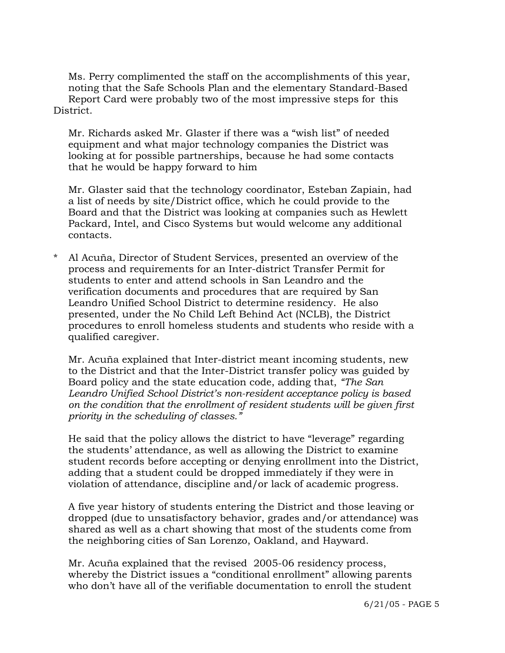Ms. Perry complimented the staff on the accomplishments of this year, noting that the Safe Schools Plan and the elementary Standard-Based Report Card were probably two of the most impressive steps for this District.

 Mr. Richards asked Mr. Glaster if there was a "wish list" of needed equipment and what major technology companies the District was looking at for possible partnerships, because he had some contacts that he would be happy forward to him

 Mr. Glaster said that the technology coordinator, Esteban Zapiain, had a list of needs by site/District office, which he could provide to the Board and that the District was looking at companies such as Hewlett Packard, Intel, and Cisco Systems but would welcome any additional contacts.

Al Acuña, Director of Student Services, presented an overview of the process and requirements for an Inter-district Transfer Permit for students to enter and attend schools in San Leandro and the verification documents and procedures that are required by San Leandro Unified School District to determine residency. He also presented, under the No Child Left Behind Act (NCLB), the District procedures to enroll homeless students and students who reside with a qualified caregiver.

 Mr. Acuña explained that Inter-district meant incoming students, new to the District and that the Inter-District transfer policy was guided by Board policy and the state education code, adding that, *"The San Leandro Unified School District's non-resident acceptance policy is based on the condition that the enrollment of resident students will be given first priority in the scheduling of classes."* 

 He said that the policy allows the district to have "leverage" regarding the students' attendance, as well as allowing the District to examine student records before accepting or denying enrollment into the District, adding that a student could be dropped immediately if they were in violation of attendance, discipline and/or lack of academic progress.

 A five year history of students entering the District and those leaving or dropped (due to unsatisfactory behavior, grades and/or attendance) was shared as well as a chart showing that most of the students come from the neighboring cities of San Lorenzo, Oakland, and Hayward.

 Mr. Acuña explained that the revised 2005-06 residency process, whereby the District issues a "conditional enrollment" allowing parents who don't have all of the verifiable documentation to enroll the student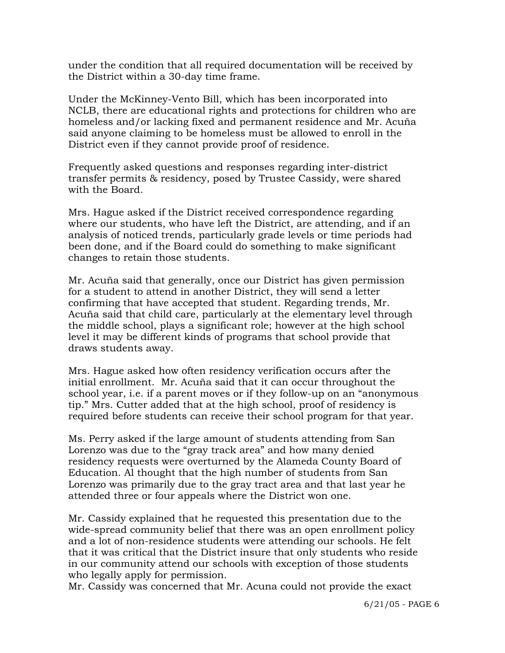under the condition that all required documentation will be received by the District within a 30-day time frame.

 Under the McKinney-Vento Bill, which has been incorporated into NCLB, there are educational rights and protections for children who are homeless and/or lacking fixed and permanent residence and Mr. Acuña said anyone claiming to be homeless must be allowed to enroll in the District even if they cannot provide proof of residence.

 Frequently asked questions and responses regarding inter-district transfer permits & residency, posed by Trustee Cassidy, were shared with the Board.

 Mrs. Hague asked if the District received correspondence regarding where our students, who have left the District, are attending, and if an analysis of noticed trends, particularly grade levels or time periods had been done, and if the Board could do something to make significant changes to retain those students.

 Mr. Acuña said that generally, once our District has given permission for a student to attend in another District, they will send a letter confirming that have accepted that student. Regarding trends, Mr. Acuña said that child care, particularly at the elementary level through the middle school, plays a significant role; however at the high school level it may be different kinds of programs that school provide that draws students away.

 Mrs. Hague asked how often residency verification occurs after the initial enrollment. Mr. Acuña said that it can occur throughout the school year, i.e. if a parent moves or if they follow-up on an "anonymous tip." Mrs. Cutter added that at the high school, proof of residency is required before students can receive their school program for that year.

 Ms. Perry asked if the large amount of students attending from San Lorenzo was due to the "gray track area" and how many denied residency requests were overturned by the Alameda County Board of Education. Al thought that the high number of students from San Lorenzo was primarily due to the gray tract area and that last year he attended three or four appeals where the District won one.

 Mr. Cassidy explained that he requested this presentation due to the wide-spread community belief that there was an open enrollment policy and a lot of non-residence students were attending our schools. He felt that it was critical that the District insure that only students who reside in our community attend our schools with exception of those students who legally apply for permission.

Mr. Cassidy was concerned that Mr. Acuna could not provide the exact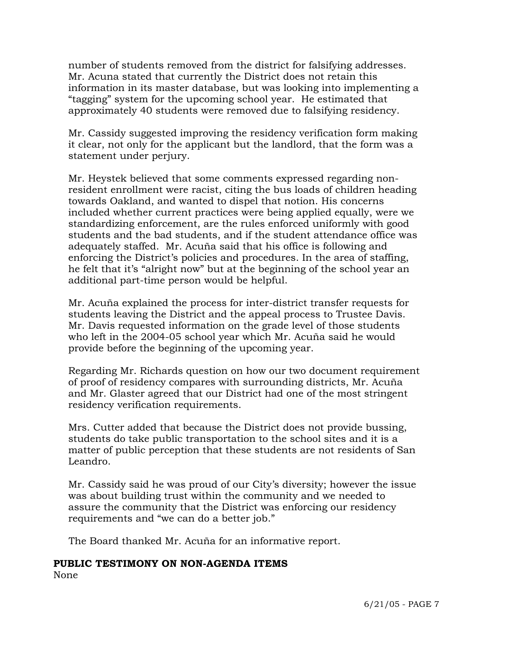number of students removed from the district for falsifying addresses. Mr. Acuna stated that currently the District does not retain this information in its master database, but was looking into implementing a "tagging" system for the upcoming school year. He estimated that approximately 40 students were removed due to falsifying residency.

 Mr. Cassidy suggested improving the residency verification form making it clear, not only for the applicant but the landlord, that the form was a statement under perjury.

 Mr. Heystek believed that some comments expressed regarding nonresident enrollment were racist, citing the bus loads of children heading towards Oakland, and wanted to dispel that notion. His concerns included whether current practices were being applied equally, were we standardizing enforcement, are the rules enforced uniformly with good students and the bad students, and if the student attendance office was adequately staffed. Mr. Acuña said that his office is following and enforcing the District's policies and procedures. In the area of staffing, he felt that it's "alright now" but at the beginning of the school year an additional part-time person would be helpful.

 Mr. Acuña explained the process for inter-district transfer requests for students leaving the District and the appeal process to Trustee Davis. Mr. Davis requested information on the grade level of those students who left in the 2004-05 school year which Mr. Acuña said he would provide before the beginning of the upcoming year.

 Regarding Mr. Richards question on how our two document requirement of proof of residency compares with surrounding districts, Mr. Acuña and Mr. Glaster agreed that our District had one of the most stringent residency verification requirements.

 Mrs. Cutter added that because the District does not provide bussing, students do take public transportation to the school sites and it is a matter of public perception that these students are not residents of San Leandro.

 Mr. Cassidy said he was proud of our City's diversity; however the issue was about building trust within the community and we needed to assure the community that the District was enforcing our residency requirements and "we can do a better job."

The Board thanked Mr. Acuña for an informative report.

### **PUBLIC TESTIMONY ON NON-AGENDA ITEMS**

None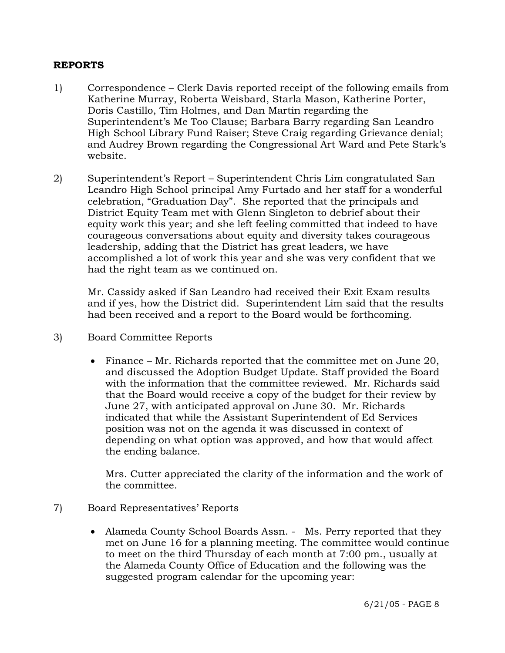## **REPORTS**

- 1) Correspondence Clerk Davis reported receipt of the following emails from Katherine Murray, Roberta Weisbard, Starla Mason, Katherine Porter, Doris Castillo, Tim Holmes, and Dan Martin regarding the Superintendent's Me Too Clause; Barbara Barry regarding San Leandro High School Library Fund Raiser; Steve Craig regarding Grievance denial; and Audrey Brown regarding the Congressional Art Ward and Pete Stark's website.
- 2) Superintendent's Report Superintendent Chris Lim congratulated San Leandro High School principal Amy Furtado and her staff for a wonderful celebration, "Graduation Day". She reported that the principals and District Equity Team met with Glenn Singleton to debrief about their equity work this year; and she left feeling committed that indeed to have courageous conversations about equity and diversity takes courageous leadership, adding that the District has great leaders, we have accomplished a lot of work this year and she was very confident that we had the right team as we continued on.

Mr. Cassidy asked if San Leandro had received their Exit Exam results and if yes, how the District did. Superintendent Lim said that the results had been received and a report to the Board would be forthcoming.

- 3) Board Committee Reports
	- Finance Mr. Richards reported that the committee met on June 20, and discussed the Adoption Budget Update. Staff provided the Board with the information that the committee reviewed. Mr. Richards said that the Board would receive a copy of the budget for their review by June 27, with anticipated approval on June 30. Mr. Richards indicated that while the Assistant Superintendent of Ed Services position was not on the agenda it was discussed in context of depending on what option was approved, and how that would affect the ending balance.

 Mrs. Cutter appreciated the clarity of the information and the work of the committee.

- 7) Board Representatives' Reports
	- Alameda County School Boards Assn. Ms. Perry reported that they met on June 16 for a planning meeting. The committee would continue to meet on the third Thursday of each month at 7:00 pm., usually at the Alameda County Office of Education and the following was the suggested program calendar for the upcoming year: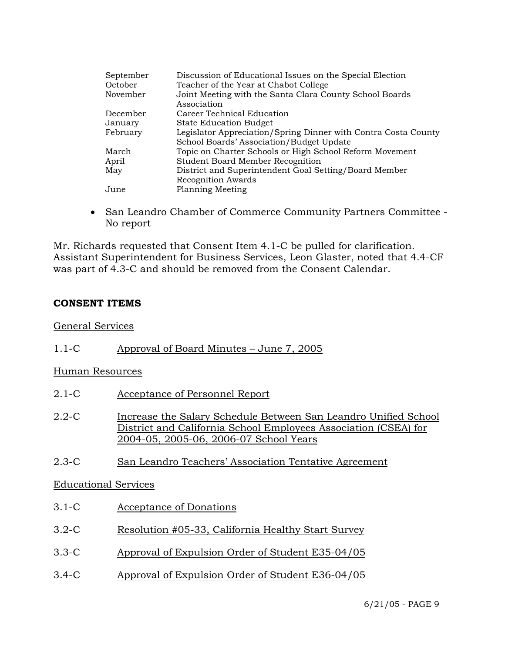| September | Discussion of Educational Issues on the Special Election               |
|-----------|------------------------------------------------------------------------|
| October   | Teacher of the Year at Chabot College                                  |
| November  | Joint Meeting with the Santa Clara County School Boards<br>Association |
| December  | Career Technical Education                                             |
| January   | <b>State Education Budget</b>                                          |
| February  | Legislator Appreciation/Spring Dinner with Contra Costa County         |
|           | School Boards' Association/Budget Update                               |
| March     | Topic on Charter Schools or High School Reform Movement                |
| April     | <b>Student Board Member Recognition</b>                                |
| May       | District and Superintendent Goal Setting/Board Member                  |
|           | <b>Recognition Awards</b>                                              |
| June      | <b>Planning Meeting</b>                                                |

• San Leandro Chamber of Commerce Community Partners Committee - No report

Mr. Richards requested that Consent Item 4.1-C be pulled for clarification. Assistant Superintendent for Business Services, Leon Glaster, noted that 4.4-CF was part of 4.3-C and should be removed from the Consent Calendar.

## **CONSENT ITEMS**

### General Services

1.1-C Approval of Board Minutes – June 7, 2005

## Human Resources

- 2.1-C Acceptance of Personnel Report
- 2.2-C Increase the Salary Schedule Between San Leandro Unified School District and California School Employees Association (CSEA) for 2004-05, 2005-06, 2006-07 School Years
- 2.3-C San Leandro Teachers' Association Tentative Agreement

### Educational Services

- 3.1-C Acceptance of Donations
- 3.2-C Resolution #05-33, California Healthy Start Survey
- 3.3-C Approval of Expulsion Order of Student E35-04/05
- 3.4-C Approval of Expulsion Order of Student E36-04/05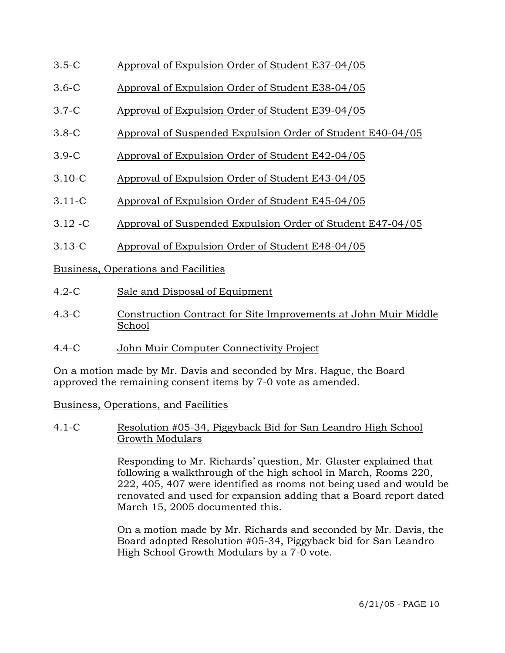- 3.5-C Approval of Expulsion Order of Student E37-04/05
- 3.6-C Approval of Expulsion Order of Student E38-04/05
- 3.7-C Approval of Expulsion Order of Student E39-04/05
- 3.8-C Approval of Suspended Expulsion Order of Student E40-04/05
- 3.9-C Approval of Expulsion Order of Student E42-04/05
- 3.10-C Approval of Expulsion Order of Student E43-04/05
- 3.11-C Approval of Expulsion Order of Student E45-04/05
- 3.12 -C Approval of Suspended Expulsion Order of Student E47-04/05
- 3.13-C Approval of Expulsion Order of Student E48-04/05

Business, Operations and Facilities

- 4.2-C Sale and Disposal of Equipment
- 4.3-C Construction Contract for Site Improvements at John Muir Middle School
- 4.4-C John Muir Computer Connectivity Project

On a motion made by Mr. Davis and seconded by Mrs. Hague, the Board approved the remaining consent items by 7-0 vote as amended.

Business, Operations, and Facilities

### 4.1-C Resolution #05-34, Piggyback Bid for San Leandro High School Growth Modulars

Responding to Mr. Richards' question, Mr. Glaster explained that following a walkthrough of the high school in March, Rooms 220, 222, 405, 407 were identified as rooms not being used and would be renovated and used for expansion adding that a Board report dated March 15, 2005 documented this.

On a motion made by Mr. Richards and seconded by Mr. Davis, the Board adopted Resolution #05-34, Piggyback bid for San Leandro High School Growth Modulars by a 7-0 vote.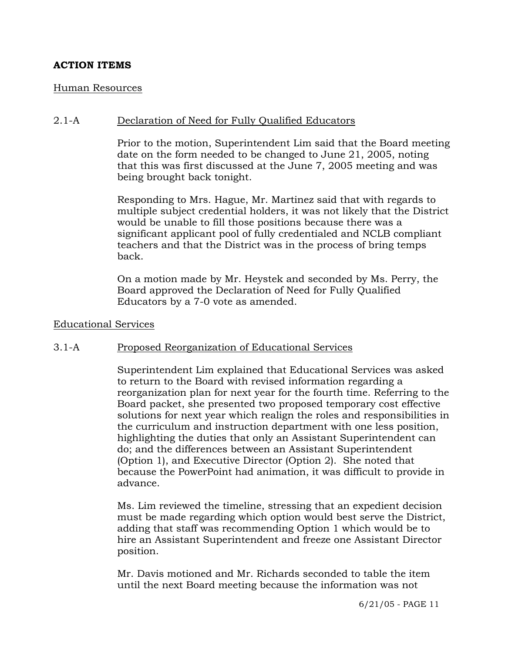## **ACTION ITEMS**

#### Human Resources

### 2.1-A Declaration of Need for Fully Qualified Educators

Prior to the motion, Superintendent Lim said that the Board meeting date on the form needed to be changed to June 21, 2005, noting that this was first discussed at the June 7, 2005 meeting and was being brought back tonight.

Responding to Mrs. Hague, Mr. Martinez said that with regards to multiple subject credential holders, it was not likely that the District would be unable to fill those positions because there was a significant applicant pool of fully credentialed and NCLB compliant teachers and that the District was in the process of bring temps back.

On a motion made by Mr. Heystek and seconded by Ms. Perry, the Board approved the Declaration of Need for Fully Qualified Educators by a 7-0 vote as amended.

#### Educational Services

### 3.1-A Proposed Reorganization of Educational Services

Superintendent Lim explained that Educational Services was asked to return to the Board with revised information regarding a reorganization plan for next year for the fourth time. Referring to the Board packet, she presented two proposed temporary cost effective solutions for next year which realign the roles and responsibilities in the curriculum and instruction department with one less position, highlighting the duties that only an Assistant Superintendent can do; and the differences between an Assistant Superintendent (Option 1), and Executive Director (Option 2). She noted that because the PowerPoint had animation, it was difficult to provide in advance.

Ms. Lim reviewed the timeline, stressing that an expedient decision must be made regarding which option would best serve the District, adding that staff was recommending Option 1 which would be to hire an Assistant Superintendent and freeze one Assistant Director position.

Mr. Davis motioned and Mr. Richards seconded to table the item until the next Board meeting because the information was not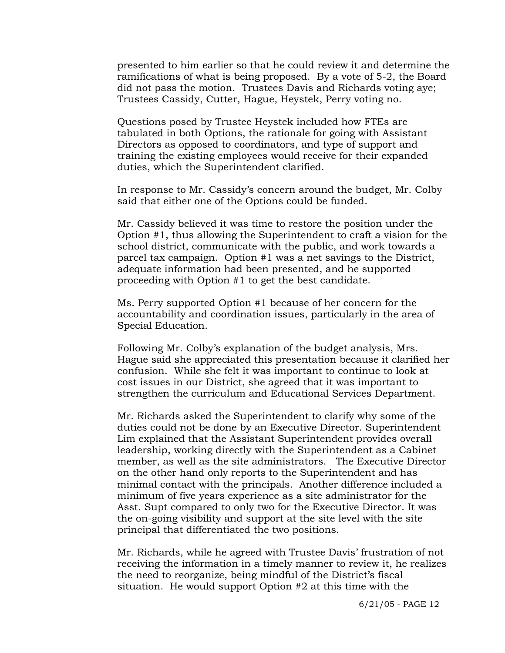presented to him earlier so that he could review it and determine the ramifications of what is being proposed. By a vote of 5-2, the Board did not pass the motion. Trustees Davis and Richards voting aye; Trustees Cassidy, Cutter, Hague, Heystek, Perry voting no.

Questions posed by Trustee Heystek included how FTEs are tabulated in both Options, the rationale for going with Assistant Directors as opposed to coordinators, and type of support and training the existing employees would receive for their expanded duties, which the Superintendent clarified.

In response to Mr. Cassidy's concern around the budget, Mr. Colby said that either one of the Options could be funded.

Mr. Cassidy believed it was time to restore the position under the Option #1, thus allowing the Superintendent to craft a vision for the school district, communicate with the public, and work towards a parcel tax campaign. Option #1 was a net savings to the District, adequate information had been presented, and he supported proceeding with Option #1 to get the best candidate.

Ms. Perry supported Option #1 because of her concern for the accountability and coordination issues, particularly in the area of Special Education.

Following Mr. Colby's explanation of the budget analysis, Mrs. Hague said she appreciated this presentation because it clarified her confusion. While she felt it was important to continue to look at cost issues in our District, she agreed that it was important to strengthen the curriculum and Educational Services Department.

Mr. Richards asked the Superintendent to clarify why some of the duties could not be done by an Executive Director. Superintendent Lim explained that the Assistant Superintendent provides overall leadership, working directly with the Superintendent as a Cabinet member, as well as the site administrators. The Executive Director on the other hand only reports to the Superintendent and has minimal contact with the principals. Another difference included a minimum of five years experience as a site administrator for the Asst. Supt compared to only two for the Executive Director. It was the on-going visibility and support at the site level with the site principal that differentiated the two positions.

Mr. Richards, while he agreed with Trustee Davis' frustration of not receiving the information in a timely manner to review it, he realizes the need to reorganize, being mindful of the District's fiscal situation. He would support Option #2 at this time with the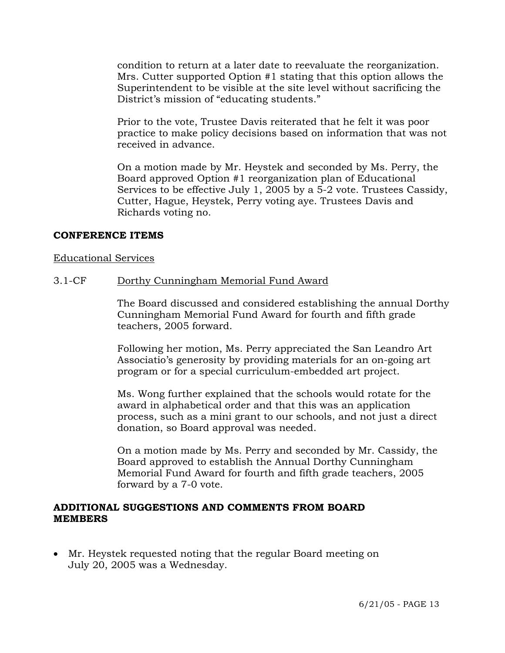condition to return at a later date to reevaluate the reorganization. Mrs. Cutter supported Option #1 stating that this option allows the Superintendent to be visible at the site level without sacrificing the District's mission of "educating students."

Prior to the vote, Trustee Davis reiterated that he felt it was poor practice to make policy decisions based on information that was not received in advance.

On a motion made by Mr. Heystek and seconded by Ms. Perry, the Board approved Option #1 reorganization plan of Educational Services to be effective July 1, 2005 by a 5-2 vote. Trustees Cassidy, Cutter, Hague, Heystek, Perry voting aye. Trustees Davis and Richards voting no.

### **CONFERENCE ITEMS**

### Educational Services

### 3.1-CF Dorthy Cunningham Memorial Fund Award

The Board discussed and considered establishing the annual Dorthy Cunningham Memorial Fund Award for fourth and fifth grade teachers, 2005 forward.

Following her motion, Ms. Perry appreciated the San Leandro Art Associatio's generosity by providing materials for an on-going art program or for a special curriculum-embedded art project.

Ms. Wong further explained that the schools would rotate for the award in alphabetical order and that this was an application process, such as a mini grant to our schools, and not just a direct donation, so Board approval was needed.

On a motion made by Ms. Perry and seconded by Mr. Cassidy, the Board approved to establish the Annual Dorthy Cunningham Memorial Fund Award for fourth and fifth grade teachers, 2005 forward by a 7-0 vote.

### **ADDITIONAL SUGGESTIONS AND COMMENTS FROM BOARD MEMBERS**

• Mr. Heystek requested noting that the regular Board meeting on July 20, 2005 was a Wednesday.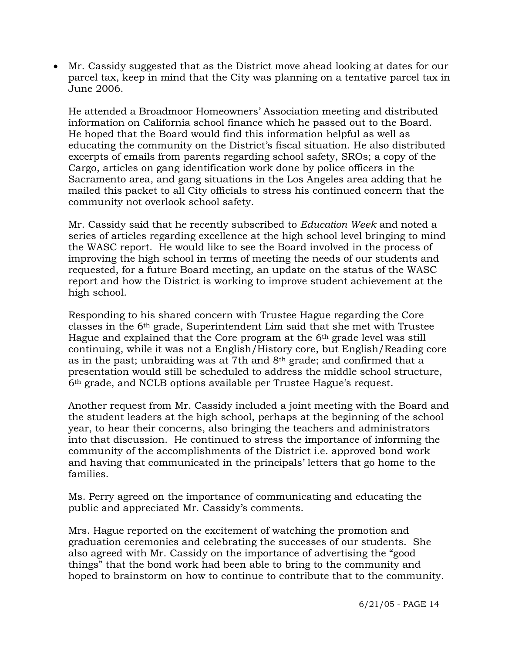• Mr. Cassidy suggested that as the District move ahead looking at dates for our parcel tax, keep in mind that the City was planning on a tentative parcel tax in June 2006.

He attended a Broadmoor Homeowners' Association meeting and distributed information on California school finance which he passed out to the Board. He hoped that the Board would find this information helpful as well as educating the community on the District's fiscal situation. He also distributed excerpts of emails from parents regarding school safety, SROs; a copy of the Cargo, articles on gang identification work done by police officers in the Sacramento area, and gang situations in the Los Angeles area adding that he mailed this packet to all City officials to stress his continued concern that the community not overlook school safety.

Mr. Cassidy said that he recently subscribed to *Education Week* and noted a series of articles regarding excellence at the high school level bringing to mind the WASC report. He would like to see the Board involved in the process of improving the high school in terms of meeting the needs of our students and requested, for a future Board meeting, an update on the status of the WASC report and how the District is working to improve student achievement at the high school.

Responding to his shared concern with Trustee Hague regarding the Core classes in the 6th grade, Superintendent Lim said that she met with Trustee Hague and explained that the Core program at the 6th grade level was still continuing, while it was not a English/History core, but English/Reading core as in the past; unbraiding was at 7th and  $8<sup>th</sup>$  grade; and confirmed that a presentation would still be scheduled to address the middle school structure, 6th grade, and NCLB options available per Trustee Hague's request.

Another request from Mr. Cassidy included a joint meeting with the Board and the student leaders at the high school, perhaps at the beginning of the school year, to hear their concerns, also bringing the teachers and administrators into that discussion. He continued to stress the importance of informing the community of the accomplishments of the District i.e. approved bond work and having that communicated in the principals' letters that go home to the families.

Ms. Perry agreed on the importance of communicating and educating the public and appreciated Mr. Cassidy's comments.

Mrs. Hague reported on the excitement of watching the promotion and graduation ceremonies and celebrating the successes of our students. She also agreed with Mr. Cassidy on the importance of advertising the "good things" that the bond work had been able to bring to the community and hoped to brainstorm on how to continue to contribute that to the community.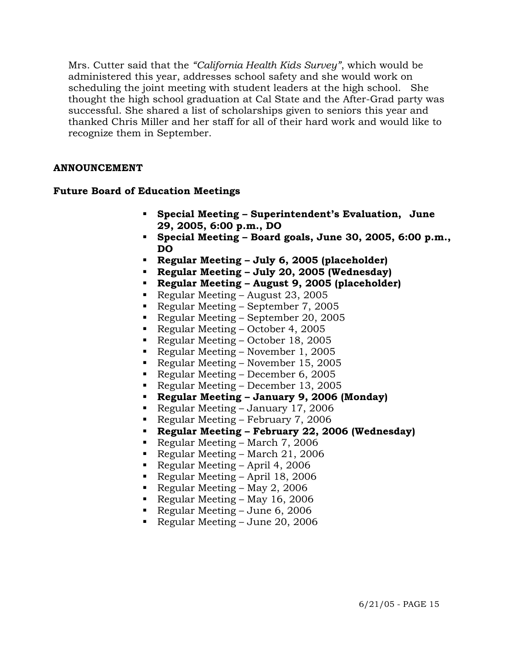Mrs. Cutter said that the *"California Health Kids Survey"*, which would be administered this year, addresses school safety and she would work on scheduling the joint meeting with student leaders at the high school. She thought the high school graduation at Cal State and the After-Grad party was successful. She shared a list of scholarships given to seniors this year and thanked Chris Miller and her staff for all of their hard work and would like to recognize them in September.

## **ANNOUNCEMENT**

## **Future Board of Education Meetings**

- **Special Meeting Superintendent's Evaluation, June 29, 2005, 6:00 p.m., DO**
- **Special Meeting Board goals, June 30, 2005, 6:00 p.m., DO**
- **Regular Meeting July 6, 2005 (placeholder)**
- **Regular Meeting July 20, 2005 (Wednesday)**
- **Regular Meeting August 9, 2005 (placeholder)**
- Regular Meeting August 23, 2005
- Regular Meeting September 7, 2005
- Regular Meeting September 20, 2005
- Regular Meeting October 4, 2005
- Regular Meeting October 18, 2005
- Regular Meeting November 1, 2005
- Regular Meeting November 15, 2005
- Regular Meeting December 6, 2005
- Regular Meeting December 13, 2005
- **Regular Meeting January 9, 2006 (Monday)**
- Regular Meeting January 17, 2006
- Regular Meeting February 7, 2006
- **Regular Meeting February 22, 2006 (Wednesday)**
- Regular Meeting March 7, 2006
- Regular Meeting March 21, 2006
- Regular Meeting April 4, 2006
- Regular Meeting April 18, 2006
- Regular Meeting May 2, 2006
- Regular Meeting May 16, 2006
- Regular Meeting June 6, 2006
- Regular Meeting June 20, 2006